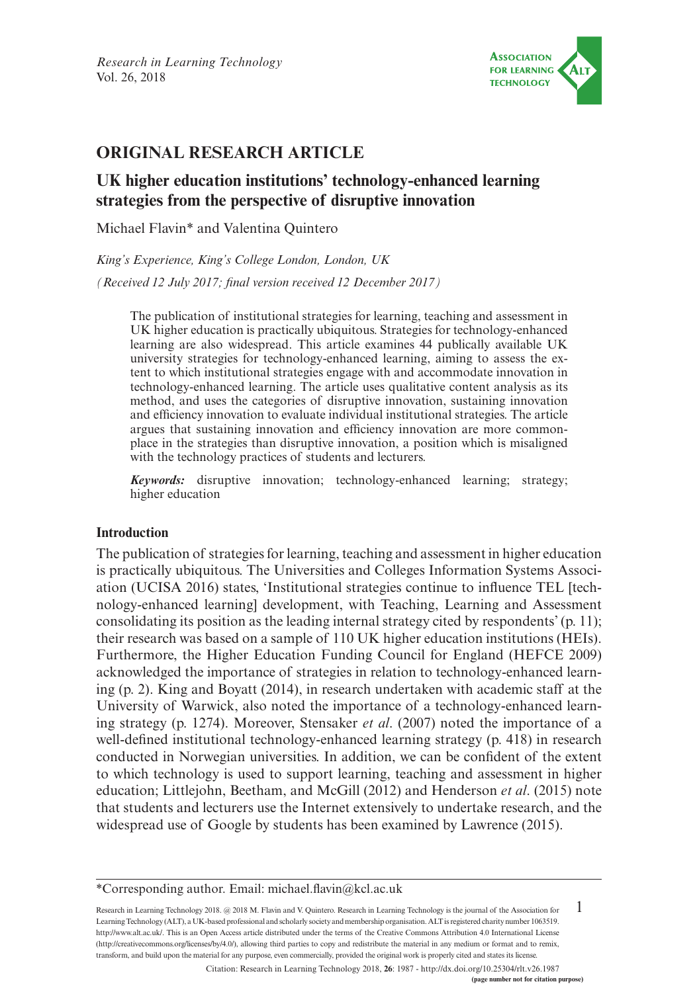

## **ORIGINAL RESEARCH ARTICLE**

# **UK higher education institutions' technology-enhanced learning strategies from the perspective of disruptive innovation**

Michael Flavin\* and Valentina Quintero

*King's Experience, King's College London, London, UK (Received 12 July 2017; final version received 12 December 2017)*

The publication of institutional strategies for learning, teaching and assessment in UK higher education is practically ubiquitous. Strategies for technology-enhanced learning are also widespread. This article examines 44 publically available UK university strategies for technology-enhanced learning, aiming to assess the extent to which institutional strategies engage with and accommodate innovation in technology-enhanced learning. The article uses qualitative content analysis as its method, and uses the categories of disruptive innovation, sustaining innovation and efficiency innovation to evaluate individual institutional strategies. The article argues that sustaining innovation and efficiency innovation are more commonplace in the strategies than disruptive innovation, a position which is misaligned with the technology practices of students and lecturers.

*Keywords:* disruptive innovation; technology-enhanced learning; strategy; higher education

#### **Introduction**

The publication of strategies for learning, teaching and assessment in higher education is practically ubiquitous. The Universities and Colleges Information Systems Association (UCISA 2016) states, 'Institutional strategies continue to influence TEL [technology-enhanced learning] development, with Teaching, Learning and Assessment consolidating its position as the leading internal strategy cited by respondents' (p. 11); their research was based on a sample of 110 UK higher education institutions (HEIs). Furthermore, the Higher Education Funding Council for England (HEFCE 2009) acknowledged the importance of strategies in relation to technology-enhanced learning (p. 2). King and Boyatt (2014), in research undertaken with academic staff at the University of Warwick, also noted the importance of a technology-enhanced learning strategy (p. 1274). Moreover, Stensaker *et al*. (2007) noted the importance of a well-defined institutional technology-enhanced learning strategy (p. 418) in research conducted in Norwegian universities. In addition, we can be confident of the extent to which technology is used to support learning, teaching and assessment in higher education; Littlejohn, Beetham, and McGill (2012) and Henderson *et al*. (2015) note that students and lecturers use the Internet extensively to undertake research, and the widespread use of Google by students has been examined by Lawrence (2015).

1 Research in Learning Technology 2018. @ 2018 M. Flavin and V. Quintero. Research in Learning Technology is the journal of the Association for Learning Technology (ALT), a UK-based professional and scholarly society and membership organisation. ALT is registered charity number 1063519. [http://www.alt.ac.uk/.](http://www.alt.ac.uk/) This is an Open Access article distributed under the terms of the Creative Commons Attribution 4.0 International License (<http://creativecommons.org/licenses/by/4.0/>), allowing third parties to copy and redistribute the material in any medium or format and to remix, transform, and build upon the material for any purpose, even commercially, provided the original work is properly cited and states its license.

Citation: Research in Learning Technology 2018, **26**: 1987 - <http://dx.doi.org/10.25304/rlt.v26.1987>

<sup>\*</sup>Corresponding author. Email: [michael.flavin@kcl.ac.uk](mailto:michael.flavin@kcl.ac.uk)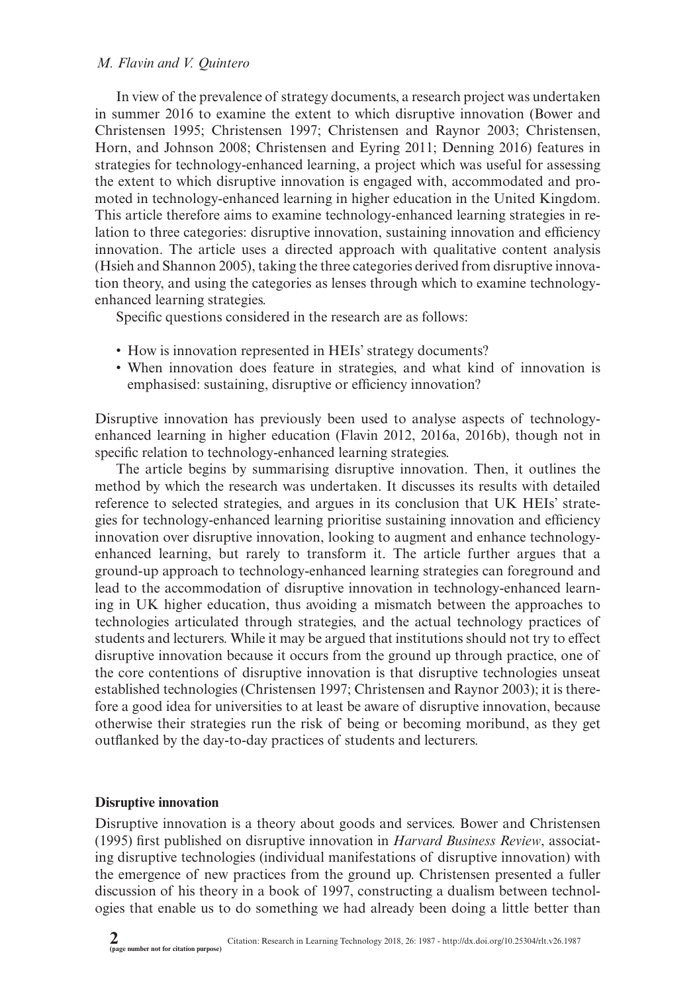In view of the prevalence of strategy documents, a research project was undertaken in summer 2016 to examine the extent to which disruptive innovation (Bower and Christensen 1995; Christensen 1997; Christensen and Raynor 2003; Christensen, Horn, and Johnson 2008; Christensen and Eyring 2011; Denning 2016) features in strategies for technology-enhanced learning, a project which was useful for assessing the extent to which disruptive innovation is engaged with, accommodated and promoted in technology-enhanced learning in higher education in the United Kingdom. This article therefore aims to examine technology-enhanced learning strategies in relation to three categories: disruptive innovation, sustaining innovation and efficiency innovation. The article uses a directed approach with qualitative content analysis (Hsieh and Shannon 2005), taking the three categories derived from disruptive innovation theory, and using the categories as lenses through which to examine technologyenhanced learning strategies.

Specific questions considered in the research are as follows:

- How is innovation represented in HEIs' strategy documents?
- • When innovation does feature in strategies, and what kind of innovation is emphasised: sustaining, disruptive or efficiency innovation?

Disruptive innovation has previously been used to analyse aspects of technologyenhanced learning in higher education (Flavin 2012, 2016a, 2016b), though not in specific relation to technology-enhanced learning strategies.

The article begins by summarising disruptive innovation. Then, it outlines the method by which the research was undertaken. It discusses its results with detailed reference to selected strategies, and argues in its conclusion that UK HEIs' strategies for technology-enhanced learning prioritise sustaining innovation and efficiency innovation over disruptive innovation, looking to augment and enhance technologyenhanced learning, but rarely to transform it. The article further argues that a ground-up approach to technology-enhanced learning strategies can foreground and lead to the accommodation of disruptive innovation in technology-enhanced learning in UK higher education, thus avoiding a mismatch between the approaches to technologies articulated through strategies, and the actual technology practices of students and lecturers. While it may be argued that institutions should not try to effect disruptive innovation because it occurs from the ground up through practice, one of the core contentions of disruptive innovation is that disruptive technologies unseat established technologies (Christensen 1997; Christensen and Raynor 2003); it is therefore a good idea for universities to at least be aware of disruptive innovation, because otherwise their strategies run the risk of being or becoming moribund, as they get outflanked by the day-to-day practices of students and lecturers.

#### **Disruptive innovation**

Disruptive innovation is a theory about goods and services. Bower and Christensen (1995) first published on disruptive innovation in *Harvard Business Review*, associating disruptive technologies (individual manifestations of disruptive innovation) with the emergence of new practices from the ground up. Christensen presented a fuller discussion of his theory in a book of 1997, constructing a dualism between technologies that enable us to do something we had already been doing a little better than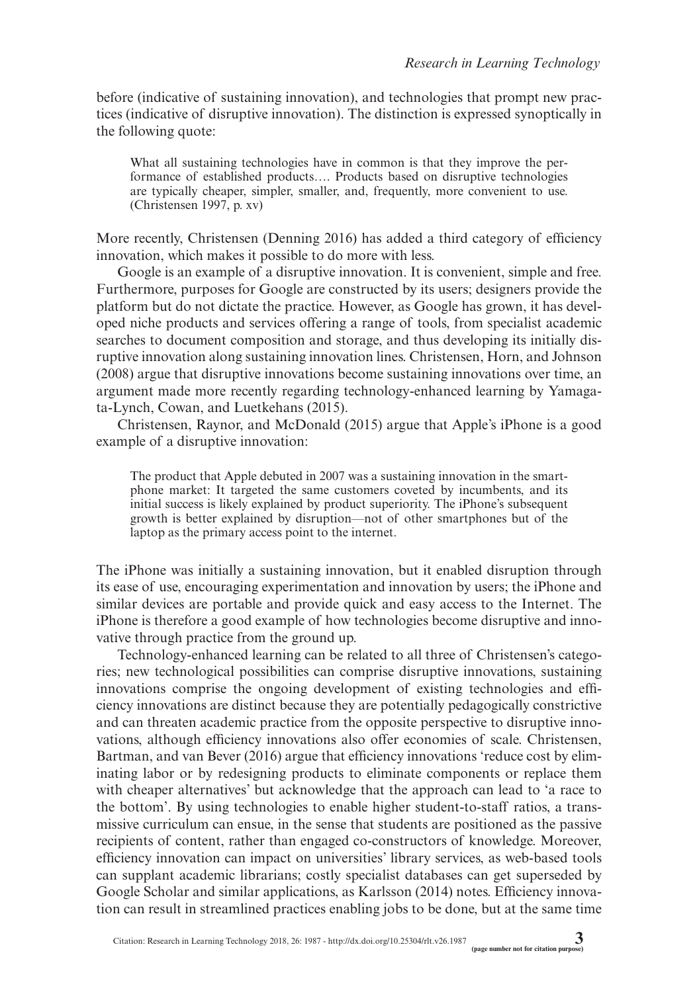before (indicative of sustaining innovation), and technologies that prompt new practices (indicative of disruptive innovation). The distinction is expressed synoptically in the following quote:

What all sustaining technologies have in common is that they improve the performance of established products…. Products based on disruptive technologies are typically cheaper, simpler, smaller, and, frequently, more convenient to use. (Christensen 1997, p. xv)

More recently, Christensen (Denning 2016) has added a third category of efficiency innovation, which makes it possible to do more with less.

Google is an example of a disruptive innovation. It is convenient, simple and free. Furthermore, purposes for Google are constructed by its users; designers provide the platform but do not dictate the practice. However, as Google has grown, it has developed niche products and services offering a range of tools, from specialist academic searches to document composition and storage, and thus developing its initially disruptive innovation along sustaining innovation lines. Christensen, Horn, and Johnson (2008) argue that disruptive innovations become sustaining innovations over time, an argument made more recently regarding technology-enhanced learning by Yamagata-Lynch, Cowan, and Luetkehans (2015).

Christensen, Raynor, and McDonald (2015) argue that Apple's iPhone is a good example of a disruptive innovation:

The product that Apple debuted in 2007 was a sustaining innovation in the smartphone market: It targeted the same customers coveted by incumbents, and its initial success is likely explained by product superiority. The iPhone's subsequent growth is better explained by disruption—not of other smartphones but of the laptop as the primary access point to the internet.

The iPhone was initially a sustaining innovation, but it enabled disruption through its ease of use, encouraging experimentation and innovation by users; the iPhone and similar devices are portable and provide quick and easy access to the Internet. The iPhone is therefore a good example of how technologies become disruptive and innovative through practice from the ground up.

Technology-enhanced learning can be related to all three of Christensen's categories; new technological possibilities can comprise disruptive innovations, sustaining innovations comprise the ongoing development of existing technologies and efficiency innovations are distinct because they are potentially pedagogically constrictive and can threaten academic practice from the opposite perspective to disruptive innovations, although efficiency innovations also offer economies of scale. Christensen, Bartman, and van Bever (2016) argue that efficiency innovations 'reduce cost by eliminating labor or by redesigning products to eliminate components or replace them with cheaper alternatives' but acknowledge that the approach can lead to 'a race to the bottom'. By using technologies to enable higher student-to-staff ratios, a transmissive curriculum can ensue, in the sense that students are positioned as the passive recipients of content, rather than engaged co-constructors of knowledge. Moreover, efficiency innovation can impact on universities' library services, as web-based tools can supplant academic librarians; costly specialist databases can get superseded by Google Scholar and similar applications, as Karlsson (2014) notes. Efficiency innovation can result in streamlined practices enabling jobs to be done, but at the same time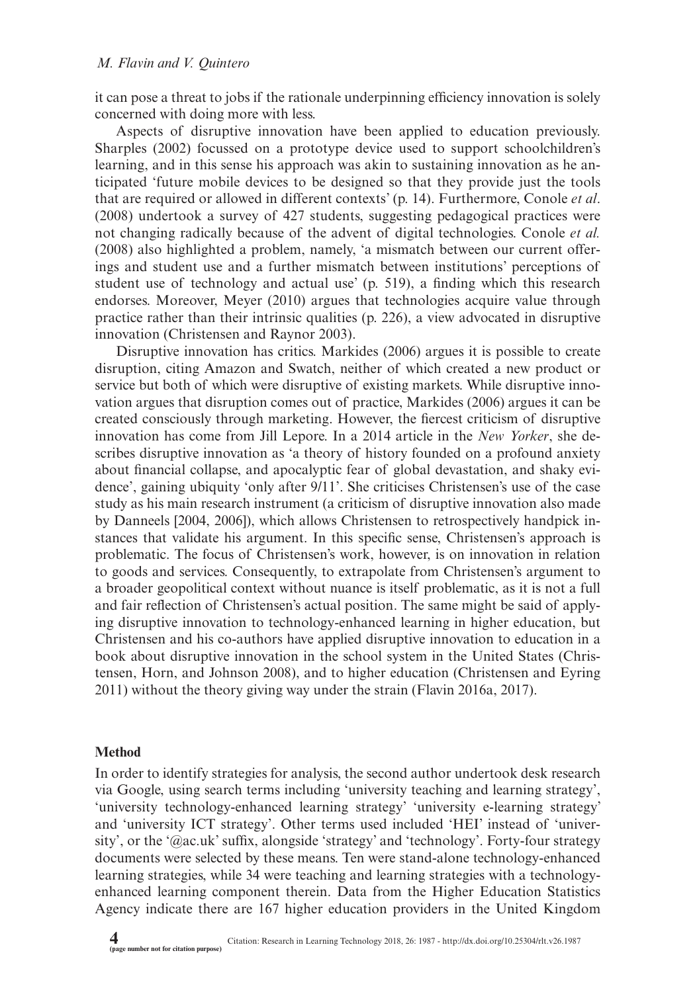it can pose a threat to jobs if the rationale underpinning efficiency innovation is solely concerned with doing more with less.

Aspects of disruptive innovation have been applied to education previously. Sharples (2002) focussed on a prototype device used to support schoolchildren's learning, and in this sense his approach was akin to sustaining innovation as he anticipated 'future mobile devices to be designed so that they provide just the tools that are required or allowed in different contexts' (p. 14). Furthermore, Conole *et al*. (2008) undertook a survey of 427 students, suggesting pedagogical practices were not changing radically because of the advent of digital technologies. Conole *et al.* (2008) also highlighted a problem, namely, 'a mismatch between our current offerings and student use and a further mismatch between institutions' perceptions of student use of technology and actual use' (p. 519), a finding which this research endorses. Moreover, Meyer (2010) argues that technologies acquire value through practice rather than their intrinsic qualities (p. 226), a view advocated in disruptive innovation (Christensen and Raynor 2003).

Disruptive innovation has critics. Markides (2006) argues it is possible to create disruption, citing Amazon and Swatch, neither of which created a new product or service but both of which were disruptive of existing markets. While disruptive innovation argues that disruption comes out of practice, Markides (2006) argues it can be created consciously through marketing. However, the fiercest criticism of disruptive innovation has come from Jill Lepore. In a 2014 article in the *New Yorker*, she describes disruptive innovation as 'a theory of history founded on a profound anxiety about financial collapse, and apocalyptic fear of global devastation, and shaky evidence', gaining ubiquity 'only after 9/11'. She criticises Christensen's use of the case study as his main research instrument (a criticism of disruptive innovation also made by Danneels [2004, 2006]), which allows Christensen to retrospectively handpick instances that validate his argument. In this specific sense, Christensen's approach is problematic. The focus of Christensen's work, however, is on innovation in relation to goods and services. Consequently, to extrapolate from Christensen's argument to a broader geopolitical context without nuance is itself problematic, as it is not a full and fair reflection of Christensen's actual position. The same might be said of applying disruptive innovation to technology-enhanced learning in higher education, but Christensen and his co-authors have applied disruptive innovation to education in a book about disruptive innovation in the school system in the United States (Christensen, Horn, and Johnson 2008), and to higher education (Christensen and Eyring 2011) without the theory giving way under the strain (Flavin 2016a, 2017).

#### **Method**

In order to identify strategies for analysis, the second author undertook desk research via Google, using search terms including 'university teaching and learning strategy', 'university technology-enhanced learning strategy' 'university e-learning strategy' and 'university ICT strategy'. Other terms used included 'HEI' instead of 'university', or the '@ac.uk' suffix, alongside 'strategy' and 'technology'. Forty-four strategy documents were selected by these means. Ten were stand-alone technology-enhanced learning strategies, while 34 were teaching and learning strategies with a technologyenhanced learning component therein. Data from the Higher Education Statistics Agency indicate there are 167 higher education providers in the United Kingdom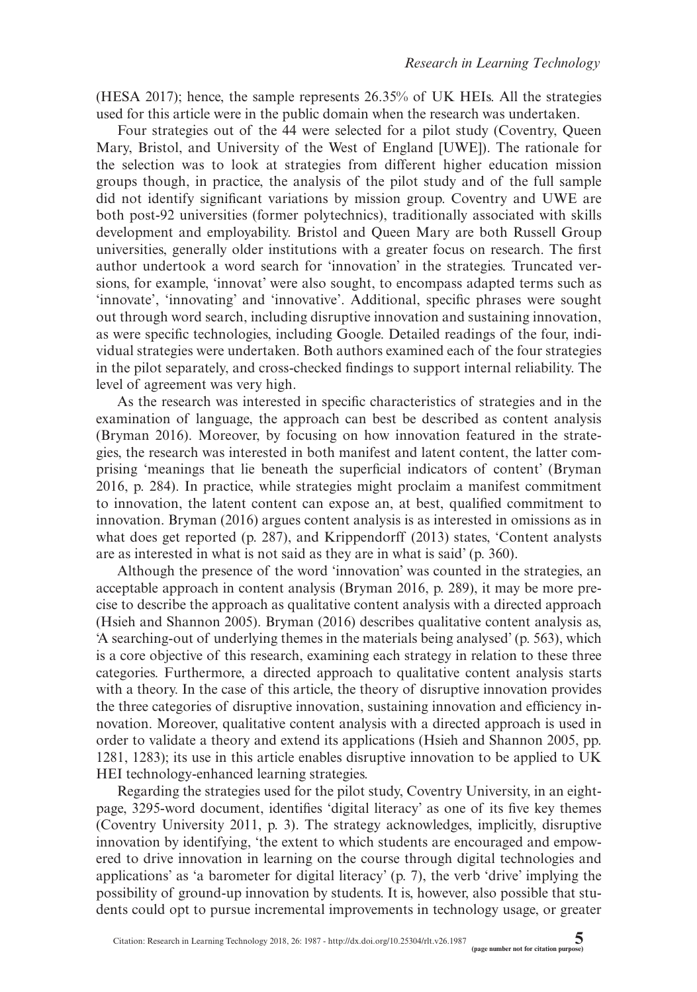(HESA 2017); hence, the sample represents 26.35% of UK HEIs. All the strategies used for this article were in the public domain when the research was undertaken.

Four strategies out of the 44 were selected for a pilot study (Coventry, Queen Mary, Bristol, and University of the West of England [UWE]). The rationale for the selection was to look at strategies from different higher education mission groups though, in practice, the analysis of the pilot study and of the full sample did not identify significant variations by mission group. Coventry and UWE are both post-92 universities (former polytechnics), traditionally associated with skills development and employability. Bristol and Queen Mary are both Russell Group universities, generally older institutions with a greater focus on research. The first author undertook a word search for 'innovation' in the strategies. Truncated versions, for example, 'innovat' were also sought, to encompass adapted terms such as 'innovate', 'innovating' and 'innovative'. Additional, specific phrases were sought out through word search, including disruptive innovation and sustaining innovation, as were specific technologies, including Google. Detailed readings of the four, individual strategies were undertaken. Both authors examined each of the four strategies in the pilot separately, and cross-checked findings to support internal reliability. The level of agreement was very high.

As the research was interested in specific characteristics of strategies and in the examination of language, the approach can best be described as content analysis (Bryman 2016). Moreover, by focusing on how innovation featured in the strategies, the research was interested in both manifest and latent content, the latter comprising 'meanings that lie beneath the superficial indicators of content' (Bryman 2016, p. 284). In practice, while strategies might proclaim a manifest commitment to innovation, the latent content can expose an, at best, qualified commitment to innovation. Bryman (2016) argues content analysis is as interested in omissions as in what does get reported (p. 287), and Krippendorff (2013) states, 'Content analysts are as interested in what is not said as they are in what is said' (p. 360).

Although the presence of the word 'innovation' was counted in the strategies, an acceptable approach in content analysis (Bryman 2016, p. 289), it may be more precise to describe the approach as qualitative content analysis with a directed approach (Hsieh and Shannon 2005). Bryman (2016) describes qualitative content analysis as, 'A searching-out of underlying themes in the materials being analysed' (p. 563), which is a core objective of this research, examining each strategy in relation to these three categories. Furthermore, a directed approach to qualitative content analysis starts with a theory. In the case of this article, the theory of disruptive innovation provides the three categories of disruptive innovation, sustaining innovation and efficiency innovation. Moreover, qualitative content analysis with a directed approach is used in order to validate a theory and extend its applications (Hsieh and Shannon 2005, pp. 1281, 1283); its use in this article enables disruptive innovation to be applied to UK HEI technology-enhanced learning strategies.

Regarding the strategies used for the pilot study, Coventry University, in an eightpage, 3295-word document, identifies 'digital literacy' as one of its five key themes (Coventry University 2011, p. 3). The strategy acknowledges, implicitly, disruptive innovation by identifying, 'the extent to which students are encouraged and empowered to drive innovation in learning on the course through digital technologies and applications' as 'a barometer for digital literacy' (p. 7), the verb 'drive' implying the possibility of ground-up innovation by students. It is, however, also possible that students could opt to pursue incremental improvements in technology usage, or greater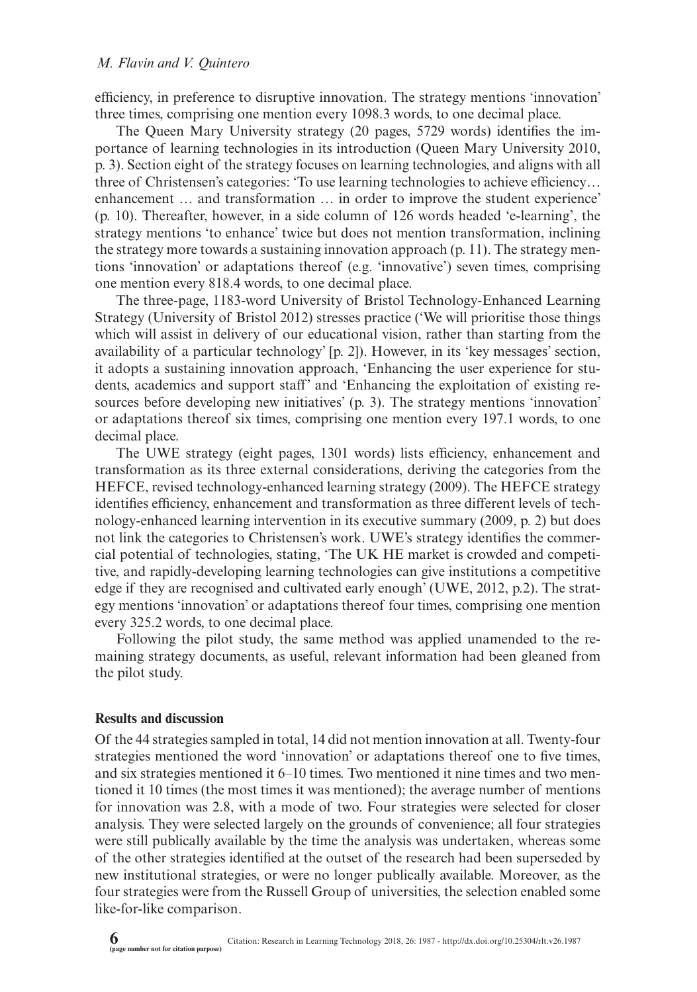efficiency, in preference to disruptive innovation. The strategy mentions 'innovation' three times, comprising one mention every 1098.3 words, to one decimal place.

The Queen Mary University strategy (20 pages, 5729 words) identifies the importance of learning technologies in its introduction (Queen Mary University 2010, p. 3). Section eight of the strategy focuses on learning technologies, and aligns with all three of Christensen's categories: 'To use learning technologies to achieve efficiency… enhancement … and transformation … in order to improve the student experience' (p. 10). Thereafter, however, in a side column of 126 words headed 'e-learning', the strategy mentions 'to enhance' twice but does not mention transformation, inclining the strategy more towards a sustaining innovation approach (p. 11). The strategy mentions 'innovation' or adaptations thereof (e.g. 'innovative') seven times, comprising one mention every 818.4 words, to one decimal place.

The three-page, 1183-word University of Bristol Technology-Enhanced Learning Strategy (University of Bristol 2012) stresses practice ('We will prioritise those things which will assist in delivery of our educational vision, rather than starting from the availability of a particular technology' [p. 2]). However, in its 'key messages' section, it adopts a sustaining innovation approach, 'Enhancing the user experience for students, academics and support staff' and 'Enhancing the exploitation of existing resources before developing new initiatives' (p. 3). The strategy mentions 'innovation' or adaptations thereof six times, comprising one mention every 197.1 words, to one decimal place.

The UWE strategy (eight pages, 1301 words) lists efficiency, enhancement and transformation as its three external considerations, deriving the categories from the HEFCE, revised technology-enhanced learning strategy (2009). The HEFCE strategy identifies efficiency, enhancement and transformation as three different levels of technology-enhanced learning intervention in its executive summary (2009, p. 2) but does not link the categories to Christensen's work. UWE's strategy identifies the commercial potential of technologies, stating, 'The UK HE market is crowded and competitive, and rapidly-developing learning technologies can give institutions a competitive edge if they are recognised and cultivated early enough' (UWE, 2012, p.2). The strategy mentions 'innovation' or adaptations thereof four times, comprising one mention every 325.2 words, to one decimal place.

Following the pilot study, the same method was applied unamended to the remaining strategy documents, as useful, relevant information had been gleaned from the pilot study.

#### **Results and discussion**

Of the 44 strategies sampled in total, 14 did not mention innovation at all. Twenty-four strategies mentioned the word 'innovation' or adaptations thereof one to five times, and six strategies mentioned it 6–10 times. Two mentioned it nine times and two mentioned it 10 times (the most times it was mentioned); the average number of mentions for innovation was 2.8, with a mode of two. Four strategies were selected for closer analysis. They were selected largely on the grounds of convenience; all four strategies were still publically available by the time the analysis was undertaken, whereas some of the other strategies identified at the outset of the research had been superseded by new institutional strategies, or were no longer publically available. Moreover, as the four strategies were from the Russell Group of universities, the selection enabled some like-for-like comparison.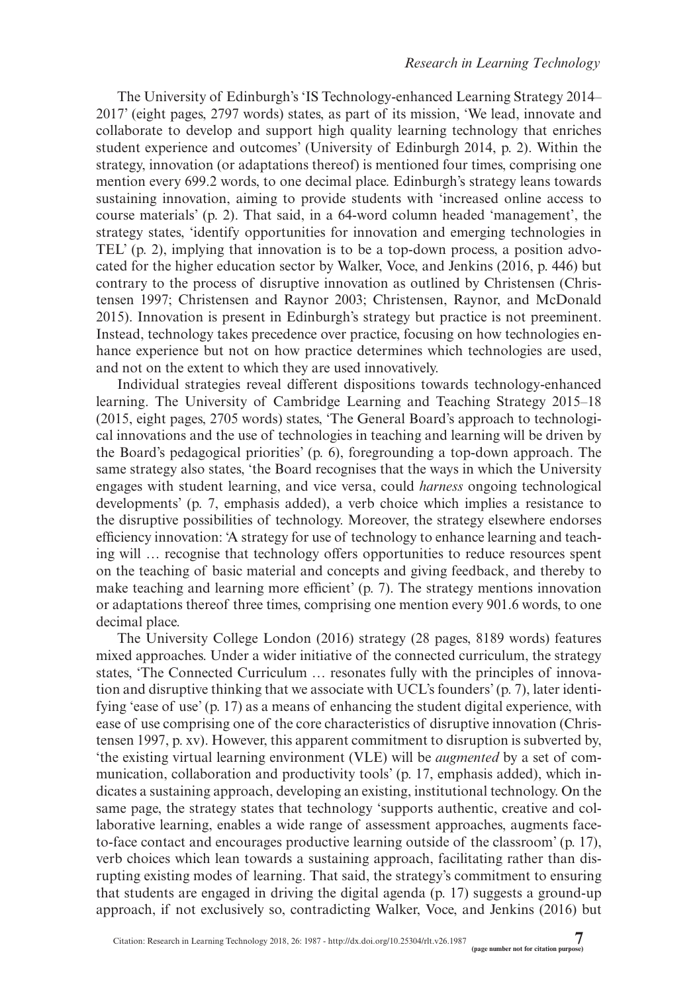The University of Edinburgh's 'IS Technology-enhanced Learning Strategy 2014– 2017' (eight pages, 2797 words) states, as part of its mission, 'We lead, innovate and collaborate to develop and support high quality learning technology that enriches student experience and outcomes' (University of Edinburgh 2014, p. 2). Within the strategy, innovation (or adaptations thereof) is mentioned four times, comprising one mention every 699.2 words, to one decimal place. Edinburgh's strategy leans towards sustaining innovation, aiming to provide students with 'increased online access to course materials' (p. 2). That said, in a 64-word column headed 'management', the strategy states, 'identify opportunities for innovation and emerging technologies in TEL' (p. 2), implying that innovation is to be a top-down process, a position advocated for the higher education sector by Walker, Voce, and Jenkins (2016, p. 446) but contrary to the process of disruptive innovation as outlined by Christensen (Christensen 1997; Christensen and Raynor 2003; Christensen, Raynor, and McDonald 2015). Innovation is present in Edinburgh's strategy but practice is not preeminent. Instead, technology takes precedence over practice, focusing on how technologies enhance experience but not on how practice determines which technologies are used, and not on the extent to which they are used innovatively.

Individual strategies reveal different dispositions towards technology-enhanced learning. The University of Cambridge Learning and Teaching Strategy 2015–18 (2015, eight pages, 2705 words) states, 'The General Board's approach to technological innovations and the use of technologies in teaching and learning will be driven by the Board's pedagogical priorities' (p. 6), foregrounding a top-down approach. The same strategy also states, 'the Board recognises that the ways in which the University engages with student learning, and vice versa, could *harness* ongoing technological developments' (p. 7, emphasis added), a verb choice which implies a resistance to the disruptive possibilities of technology. Moreover, the strategy elsewhere endorses efficiency innovation: 'A strategy for use of technology to enhance learning and teaching will … recognise that technology offers opportunities to reduce resources spent on the teaching of basic material and concepts and giving feedback, and thereby to make teaching and learning more efficient' (p. 7). The strategy mentions innovation or adaptations thereof three times, comprising one mention every 901.6 words, to one decimal place.

The University College London (2016) strategy (28 pages, 8189 words) features mixed approaches. Under a wider initiative of the connected curriculum, the strategy states, 'The Connected Curriculum … resonates fully with the principles of innovation and disruptive thinking that we associate with UCL's founders' (p. 7), later identifying 'ease of use' (p. 17) as a means of enhancing the student digital experience, with ease of use comprising one of the core characteristics of disruptive innovation (Christensen 1997, p. xv). However, this apparent commitment to disruption is subverted by, 'the existing virtual learning environment (VLE) will be *augmented* by a set of communication, collaboration and productivity tools' (p. 17, emphasis added), which indicates a sustaining approach, developing an existing, institutional technology. On the same page, the strategy states that technology 'supports authentic, creative and collaborative learning, enables a wide range of assessment approaches, augments faceto-face contact and encourages productive learning outside of the classroom' (p. 17), verb choices which lean towards a sustaining approach, facilitating rather than disrupting existing modes of learning. That said, the strategy's commitment to ensuring that students are engaged in driving the digital agenda (p. 17) suggests a ground-up approach, if not exclusively so, contradicting Walker, Voce, and Jenkins (2016) but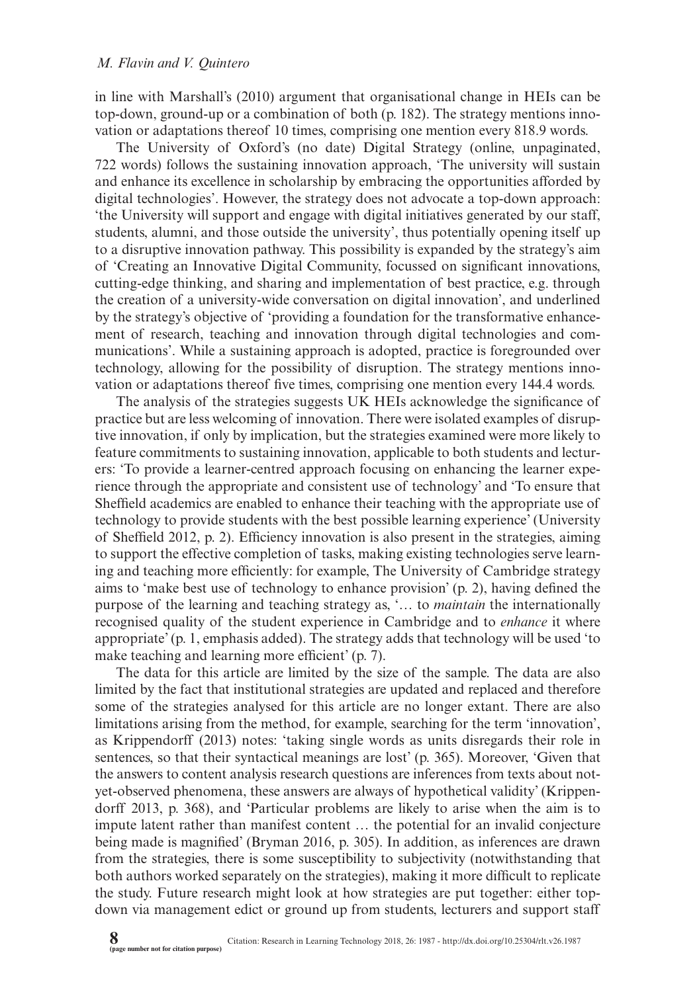in line with Marshall's (2010) argument that organisational change in HEIs can be top-down, ground-up or a combination of both (p. 182). The strategy mentions innovation or adaptations thereof 10 times, comprising one mention every 818.9 words.

The University of Oxford's (no date) Digital Strategy (online, unpaginated, 722 words) follows the sustaining innovation approach, 'The university will sustain and enhance its excellence in scholarship by embracing the opportunities afforded by digital technologies'. However, the strategy does not advocate a top-down approach: 'the University will support and engage with digital initiatives generated by our staff, students, alumni, and those outside the university', thus potentially opening itself up to a disruptive innovation pathway. This possibility is expanded by the strategy's aim of 'Creating an Innovative Digital Community, focussed on significant innovations, cutting-edge thinking, and sharing and implementation of best practice, e.g. through the creation of a university-wide conversation on digital innovation', and underlined by the strategy's objective of 'providing a foundation for the transformative enhancement of research, teaching and innovation through digital technologies and communications'. While a sustaining approach is adopted, practice is foregrounded over technology, allowing for the possibility of disruption. The strategy mentions innovation or adaptations thereof five times, comprising one mention every 144.4 words.

The analysis of the strategies suggests UK HEIs acknowledge the significance of practice but are less welcoming of innovation. There were isolated examples of disruptive innovation, if only by implication, but the strategies examined were more likely to feature commitments to sustaining innovation, applicable to both students and lecturers: 'To provide a learner-centred approach focusing on enhancing the learner experience through the appropriate and consistent use of technology' and 'To ensure that Sheffield academics are enabled to enhance their teaching with the appropriate use of technology to provide students with the best possible learning experience' (University of Sheffield 2012, p. 2). Efficiency innovation is also present in the strategies, aiming to support the effective completion of tasks, making existing technologies serve learning and teaching more efficiently: for example, The University of Cambridge strategy aims to 'make best use of technology to enhance provision' (p. 2), having defined the purpose of the learning and teaching strategy as, '… to *maintain* the internationally recognised quality of the student experience in Cambridge and to *enhance* it where appropriate' (p. 1, emphasis added). The strategy adds that technology will be used 'to make teaching and learning more efficient' (p. 7).

The data for this article are limited by the size of the sample. The data are also limited by the fact that institutional strategies are updated and replaced and therefore some of the strategies analysed for this article are no longer extant. There are also limitations arising from the method, for example, searching for the term 'innovation', as Krippendorff (2013) notes: 'taking single words as units disregards their role in sentences, so that their syntactical meanings are lost' (p. 365). Moreover, 'Given that the answers to content analysis research questions are inferences from texts about notyet-observed phenomena, these answers are always of hypothetical validity' (Krippendorff 2013, p. 368), and 'Particular problems are likely to arise when the aim is to impute latent rather than manifest content … the potential for an invalid conjecture being made is magnified' (Bryman 2016, p. 305). In addition, as inferences are drawn from the strategies, there is some susceptibility to subjectivity (notwithstanding that both authors worked separately on the strategies), making it more difficult to replicate the study. Future research might look at how strategies are put together: either topdown via management edict or ground up from students, lecturers and support staff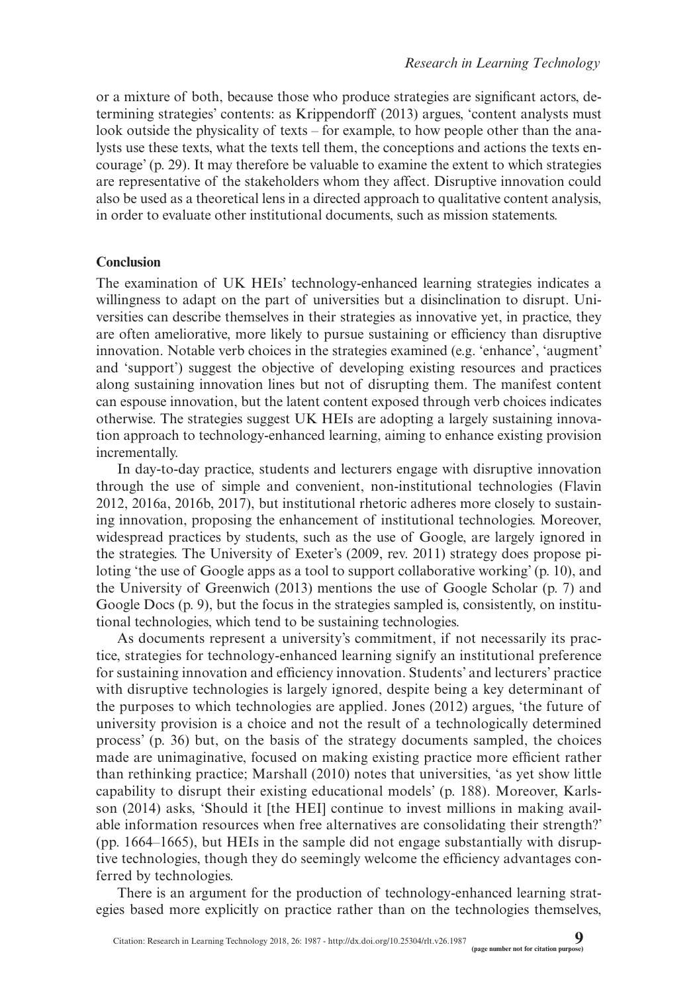or a mixture of both, because those who produce strategies are significant actors, determining strategies' contents: as Krippendorff (2013) argues, 'content analysts must look outside the physicality of texts – for example, to how people other than the analysts use these texts, what the texts tell them, the conceptions and actions the texts encourage' (p. 29). It may therefore be valuable to examine the extent to which strategies are representative of the stakeholders whom they affect. Disruptive innovation could also be used as a theoretical lens in a directed approach to qualitative content analysis, in order to evaluate other institutional documents, such as mission statements.

#### **Conclusion**

The examination of UK HEIs' technology-enhanced learning strategies indicates a willingness to adapt on the part of universities but a disinclination to disrupt. Universities can describe themselves in their strategies as innovative yet, in practice, they are often ameliorative, more likely to pursue sustaining or efficiency than disruptive innovation. Notable verb choices in the strategies examined (e.g. 'enhance', 'augment' and 'support') suggest the objective of developing existing resources and practices along sustaining innovation lines but not of disrupting them. The manifest content can espouse innovation, but the latent content exposed through verb choices indicates otherwise. The strategies suggest UK HEIs are adopting a largely sustaining innovation approach to technology-enhanced learning, aiming to enhance existing provision incrementally.

In day-to-day practice, students and lecturers engage with disruptive innovation through the use of simple and convenient, non-institutional technologies (Flavin 2012, 2016a, 2016b, 2017), but institutional rhetoric adheres more closely to sustaining innovation, proposing the enhancement of institutional technologies. Moreover, widespread practices by students, such as the use of Google, are largely ignored in the strategies. The University of Exeter's (2009, rev. 2011) strategy does propose piloting 'the use of Google apps as a tool to support collaborative working' (p. 10), and the University of Greenwich (2013) mentions the use of Google Scholar (p. 7) and Google Docs (p. 9), but the focus in the strategies sampled is, consistently, on institutional technologies, which tend to be sustaining technologies.

As documents represent a university's commitment, if not necessarily its practice, strategies for technology-enhanced learning signify an institutional preference for sustaining innovation and efficiency innovation. Students' and lecturers' practice with disruptive technologies is largely ignored, despite being a key determinant of the purposes to which technologies are applied. Jones (2012) argues, 'the future of university provision is a choice and not the result of a technologically determined process' (p. 36) but, on the basis of the strategy documents sampled, the choices made are unimaginative, focused on making existing practice more efficient rather than rethinking practice; Marshall (2010) notes that universities, 'as yet show little capability to disrupt their existing educational models' (p. 188). Moreover, Karlsson (2014) asks, 'Should it [the HEI] continue to invest millions in making available information resources when free alternatives are consolidating their strength?' (pp. 1664–1665), but HEIs in the sample did not engage substantially with disruptive technologies, though they do seemingly welcome the efficiency advantages conferred by technologies.

There is an argument for the production of technology-enhanced learning strategies based more explicitly on practice rather than on the technologies themselves,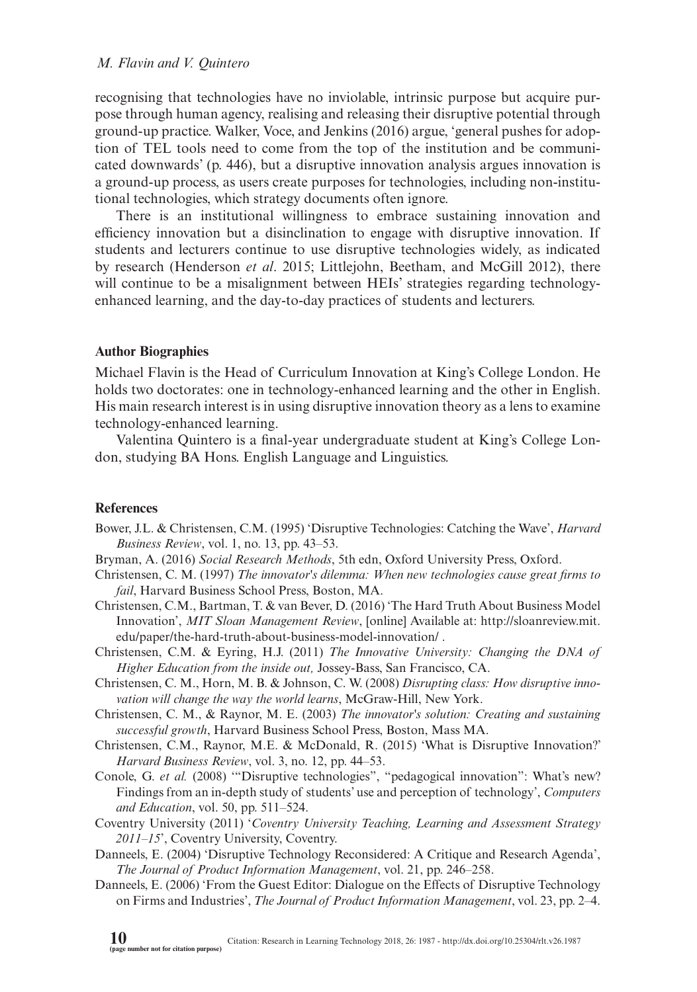recognising that technologies have no inviolable, intrinsic purpose but acquire purpose through human agency, realising and releasing their disruptive potential through ground-up practice. Walker, Voce, and Jenkins (2016) argue, 'general pushes for adoption of TEL tools need to come from the top of the institution and be communicated downwards' (p. 446), but a disruptive innovation analysis argues innovation is a ground-up process, as users create purposes for technologies, including non-institutional technologies, which strategy documents often ignore.

There is an institutional willingness to embrace sustaining innovation and efficiency innovation but a disinclination to engage with disruptive innovation. If students and lecturers continue to use disruptive technologies widely, as indicated by research (Henderson *et al*. 2015; Littlejohn, Beetham, and McGill 2012), there will continue to be a misalignment between HEIs' strategies regarding technologyenhanced learning, and the day-to-day practices of students and lecturers.

### **Author Biographies**

Michael Flavin is the Head of Curriculum Innovation at King's College London. He holds two doctorates: one in technology-enhanced learning and the other in English. His main research interest is in using disruptive innovation theory as a lens to examine technology-enhanced learning.

Valentina Quintero is a final-year undergraduate student at King's College London, studying BA Hons. English Language and Linguistics.

#### **References**

- Bower, J.L. & Christensen, C.M. (1995) 'Disruptive Technologies: Catching the Wave', *Harvard Business Review*, vol. 1, no. 13, pp. 43–53.
- Bryman, A. (2016) *Social Research Methods*, 5th edn, Oxford University Press, Oxford.
- Christensen, C. M. (1997) *The innovator's dilemma: When new technologies cause great firms to fail*, Harvard Business School Press, Boston, MA.
- Christensen, C.M., Bartman, T. & van Bever, D. (2016) 'The Hard Truth About Business Model Innovation', *MIT Sloan Management Review*, [online] Available at: [http://sloanreview.mit.](http://sloanreview.mit.edu/paper/the-hard-truth-about-business-model-innovation/) [edu/paper/the-hard-truth-about-business-model-innovation/](http://sloanreview.mit.edu/paper/the-hard-truth-about-business-model-innovation/) .
- Christensen, C.M. & Eyring, H.J. (2011) *The Innovative University: Changing the DNA of Higher Education from the inside out,* Jossey-Bass, San Francisco, CA.
- Christensen, C. M., Horn, M. B. & Johnson, C. W. (2008) *Disrupting class: How disruptive innovation will change the way the world learns*, McGraw-Hill, New York.
- Christensen, C. M., & Raynor, M. E. (2003) *The innovator's solution: Creating and sustaining successful growth*, Harvard Business School Press, Boston, Mass MA.
- Christensen, C.M., Raynor, M.E. & McDonald, R. (2015) 'What is Disruptive Innovation?' *Harvard Business Review*, vol. 3, no. 12, pp. 44–53.
- Conole, G. *et al.* (2008) "Disruptive technologies", "pedagogical innovation": What's new? Findings from an in-depth study of students' use and perception of technology', *Computers and Education*, vol. 50, pp. 511–524.
- Coventry University (2011) '*Coventry University Teaching, Learning and Assessment Strategy 2011–15*', Coventry University, Coventry.
- Danneels, E. (2004) 'Disruptive Technology Reconsidered: A Critique and Research Agenda', *The Journal of Product Information Management*, vol. 21, pp. 246–258.
- Danneels, E. (2006) 'From the Guest Editor: Dialogue on the Effects of Disruptive Technology on Firms and Industries', *The Journal of Product Information Management*, vol. 23, pp. 2–4.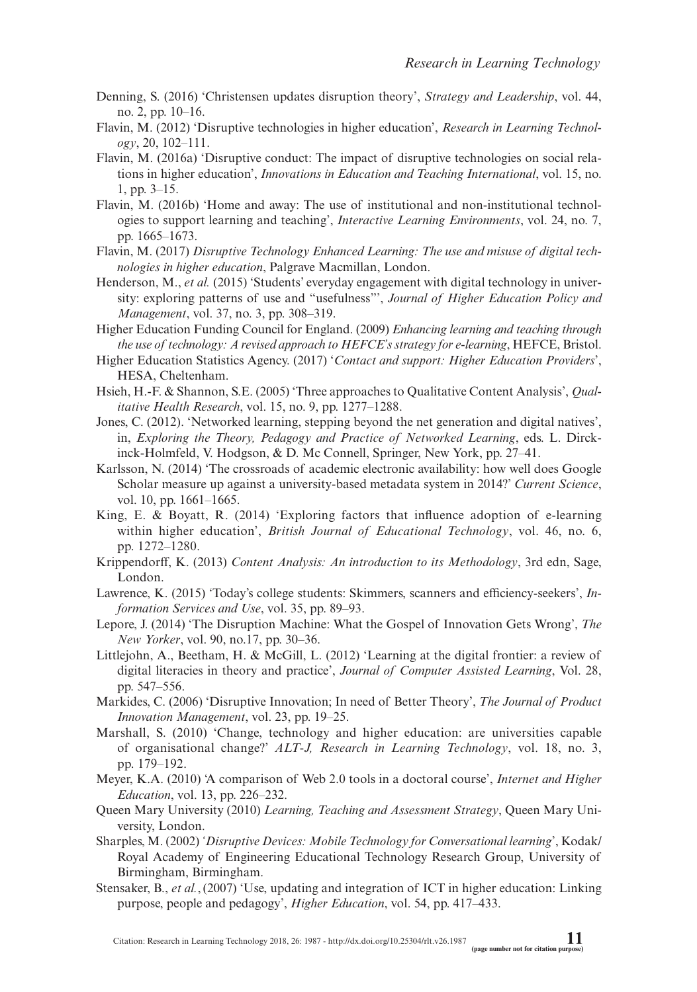- Denning, S. (2016) 'Christensen updates disruption theory', *Strategy and Leadership*, vol. 44, no. 2, pp. 10–16.
- Flavin, M. (2012) 'Disruptive technologies in higher education', *Research in Learning Technology*, 20, 102–111.
- Flavin, M. (2016a) 'Disruptive conduct: The impact of disruptive technologies on social relations in higher education', *Innovations in Education and Teaching International*, vol. 15, no. 1, pp. 3–15.
- Flavin, M. (2016b) 'Home and away: The use of institutional and non-institutional technologies to support learning and teaching', *Interactive Learning Environments*, vol. 24, no. 7, pp. 1665–1673.
- Flavin, M. (2017) *Disruptive Technology Enhanced Learning: The use and misuse of digital technologies in higher education*, Palgrave Macmillan, London.
- Henderson, M., *et al.* (2015) 'Students' everyday engagement with digital technology in university: exploring patterns of use and "usefulness"', *Journal of Higher Education Policy and Management*, vol. 37, no. 3, pp. 308–319.
- Higher Education Funding Council for England. (2009) *Enhancing learning and teaching through the use of technology: A revised approach to HEFCE's strategy for e-learning*, HEFCE, Bristol.
- Higher Education Statistics Agency. (2017) '*Contact and support: Higher Education Providers*', HESA, Cheltenham.
- Hsieh, H.-F. & Shannon, S.E. (2005) 'Three approaches to Qualitative Content Analysis', *Qualitative Health Research*, vol. 15, no. 9, pp. 1277–1288.
- Jones, C. (2012). 'Networked learning, stepping beyond the net generation and digital natives', in, *Exploring the Theory, Pedagogy and Practice of Networked Learning*, eds. L. Dirckinck-Holmfeld, V. Hodgson, & D. Mc Connell, Springer, New York, pp. 27–41.
- Karlsson, N. (2014) 'The crossroads of academic electronic availability: how well does Google Scholar measure up against a university-based metadata system in 2014?' *Current Science*, vol. 10, pp. 1661–1665.
- King, E. & Boyatt, R. (2014) 'Exploring factors that influence adoption of e-learning within higher education', *British Journal of Educational Technology*, vol. 46, no. 6, pp. 1272–1280.
- Krippendorff, K. (2013) *Content Analysis: An introduction to its Methodology*, 3rd edn, Sage, London.
- Lawrence, K. (2015) 'Today's college students: Skimmers, scanners and efficiency-seekers', *Information Services and Use*, vol. 35, pp. 89–93.
- Lepore, J. (2014) 'The Disruption Machine: What the Gospel of Innovation Gets Wrong', *The New Yorker*, vol. 90, no.17, pp. 30–36.
- Littlejohn, A., Beetham, H. & McGill, L. (2012) 'Learning at the digital frontier: a review of digital literacies in theory and practice', *Journal of Computer Assisted Learning*, Vol. 28, pp. 547–556.
- Markides, C. (2006) 'Disruptive Innovation; In need of Better Theory', *The Journal of Product Innovation Management*, vol. 23, pp. 19–25.
- Marshall, S. (2010) 'Change, technology and higher education: are universities capable of organisational change?' *ALT-J, Research in Learning Technology*, vol. 18, no. 3, pp. 179–192.
- Meyer, K.A. (2010) 'A comparison of Web 2.0 tools in a doctoral course', *Internet and Higher Education*, vol. 13, pp. 226–232.
- Queen Mary University (2010) *Learning, Teaching and Assessment Strategy*, Queen Mary University, London.
- Sharples, M. (2002) *'Disruptive Devices: Mobile Technology for Conversational learning*', Kodak/ Royal Academy of Engineering Educational Technology Research Group, University of Birmingham, Birmingham.
- Stensaker, B., *et al.*,(2007) 'Use, updating and integration of ICT in higher education: Linking purpose, people and pedagogy', *Higher Education*, vol. 54, pp. 417–433.